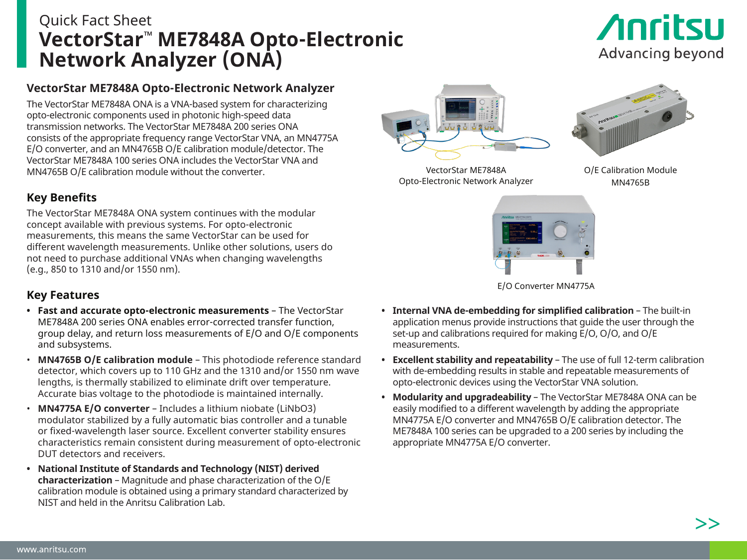# Quick Fact Sheet **VectorStar™ ME7848A Opto-Electronic Network Analyzer (ONA)**

# **Anritsu** Advancing beyond

## **VectorStar ME7848A Opto-Electronic Network Analyzer**

The VectorStar ME7848A ONA is a VNA-based system for characterizing opto-electronic components used in photonic high-speed data transmission networks. The VectorStar ME7848A 200 series ONA consists of the appropriate frequency range VectorStar VNA, an MN4775A E/O converter, and an MN4765B O/E calibration module/detector. The VectorStar ME7848A 100 series ONA includes the VectorStar VNA and MN4765B O/E calibration module without the converter.

## **Key Benefits**

The VectorStar ME7848A ONA system continues with the modular concept available with previous systems. For opto-electronic measurements, this means the same VectorStar can be used for different wavelength measurements. Unlike other solutions, users do not need to purchase additional VNAs when changing wavelengths (e.g., 850 to 1310 and/or 1550 nm).

#### **Key Features**

- **• Fast and accurate opto-electronic measurements** The VectorStar ME7848A 200 series ONA enables error-corrected transfer function, group delay, and return loss measurements of E/O and O/E components and subsystems.
- **MN4765B O/E calibration module** This photodiode reference standard detector, which covers up to 110 GHz and the 1310 and/or 1550 nm wave lengths, is thermally stabilized to eliminate drift over temperature. Accurate bias voltage to the photodiode is maintained internally.
- **MN4775A E/O converter** Includes a lithium niobate (LiNbO3) modulator stabilized by a fully automatic bias controller and a tunable or fixed-wavelength laser source. Excellent converter stability ensures characteristics remain consistent during measurement of opto-electronic DUT detectors and receivers.
- **• National Institute of Standards and Technology (NIST) derived characterization** – Magnitude and phase characterization of the O/E calibration module is obtained using a primary standard characterized by NIST and held in the Anritsu Calibration Lab.







O/E Calibration Module MN4765B



**• Internal VNA de-embedding for simplified calibration** – The built-in application menus provide instructions that guide the user through the set-up and calibrations required for making E/O, O/O, and O/E measurements.

- **• Excellent stability and repeatability** The use of full 12-term calibration with de-embedding results in stable and repeatable measurements of opto-electronic devices using the VectorStar VNA solution.
- **• Modularity and upgradeability** The VectorStar ME7848A ONA can be easily modified to a different wavelength by adding the appropriate MN4775A E/O converter and MN4765B O/E calibration detector. The ME7848A 100 series can be upgraded to a 200 series by including the appropriate MN4775A E/O converter.